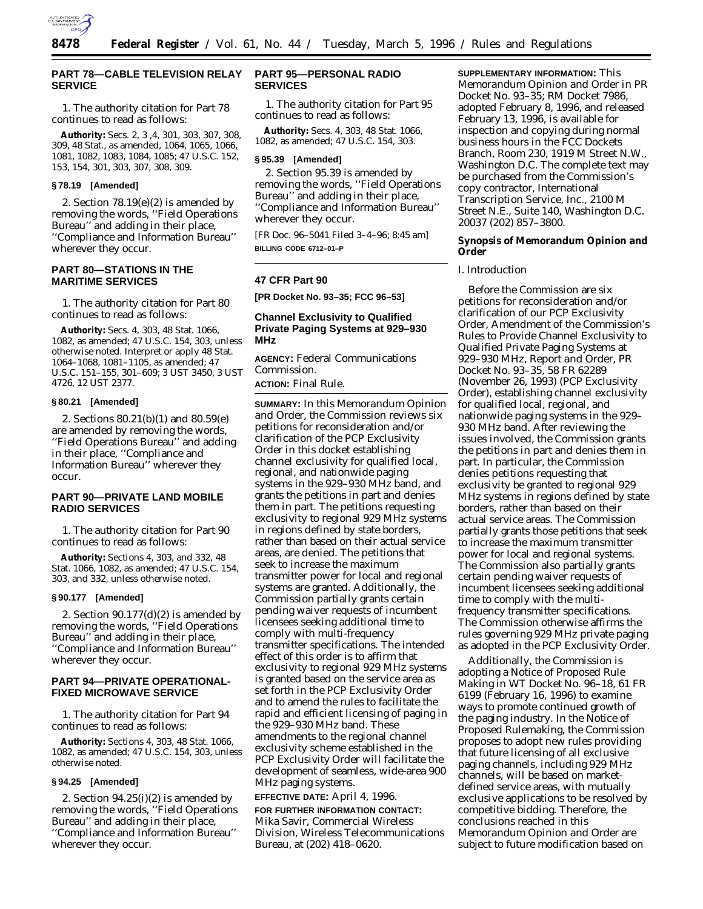

# **PART 78—CABLE TELEVISION RELAY SERVICE**

1. The authority citation for Part 78 continues to read as follows:

**Authority:** Secs. 2, 3 ,4, 301, 303, 307, 308, 309, 48 Stat., as amended, 1064, 1065, 1066, 1081, 1082, 1083, 1084, 1085; 47 U.S.C. 152, 153, 154, 301, 303, 307, 308, 309.

## **§ 78.19 [Amended]**

2. Section  $78.19(e)(2)$  is amended by removing the words, ''Field Operations Bureau'' and adding in their place, ''Compliance and Information Bureau'' wherever they occur.

# **PART 80—STATIONS IN THE MARITIME SERVICES**

1. The authority citation for Part 80 continues to read as follows:

**Authority:** Secs. 4, 303, 48 Stat. 1066, 1082, as amended; 47 U.S.C. 154, 303, unless otherwise noted. Interpret or apply 48 Stat. 1064–1068, 1081–1105, as amended; 47 U.S.C. 151–155, 301–609; 3 UST 3450, 3 UST 4726, 12 UST 2377.

## **§ 80.21 [Amended]**

2. Sections 80.21(b)(1) and 80.59(e) are amended by removing the words, ''Field Operations Bureau'' and adding in their place, ''Compliance and Information Bureau'' wherever they occur.

# **PART 90—PRIVATE LAND MOBILE RADIO SERVICES**

1. The authority citation for Part 90 continues to read as follows:

**Authority:** Sections 4, 303, and 332, 48 Stat. 1066, 1082, as amended; 47 U.S.C. 154, 303, and 332, unless otherwise noted.

## **§ 90.177 [Amended]**

2. Section  $90.177(d)(2)$  is amended by removing the words, ''Field Operations Bureau'' and adding in their place, ''Compliance and Information Bureau'' wherever they occur.

# **PART 94—PRIVATE OPERATIONAL-FIXED MICROWAVE SERVICE**

1. The authority citation for Part 94 continues to read as follows:

**Authority:** Sections 4, 303, 48 Stat. 1066, 1082, as amended; 47 U.S.C. 154, 303, unless otherwise noted.

## **§ 94.25 [Amended]**

2. Section 94.25(i)(2) is amended by removing the words, ''Field Operations Bureau'' and adding in their place, ''Compliance and Information Bureau'' wherever they occur.

# **PART 95—PERSONAL RADIO SERVICES**

1. The authority citation for Part 95 continues to read as follows:

**Authority:** Secs. 4, 303, 48 Stat. 1066, 1082, as amended; 47 U.S.C. 154, 303.

#### **§ 95.39 [Amended]**

2. Section 95.39 is amended by removing the words, ''Field Operations Bureau'' and adding in their place, ''Compliance and Information Bureau'' wherever they occur.

[FR Doc. 96–5041 Filed 3–4–96; 8:45 am] **BILLING CODE 6712–01–P**

### **47 CFR Part 90**

**[PR Docket No. 93–35; FCC 96–53]**

## **Channel Exclusivity to Qualified Private Paging Systems at 929–930 MHz**

**AGENCY:** Federal Communications Commission.

**ACTION:** Final Rule.

**SUMMARY:** In this *Memorandum Opinion and Order,* the Commission reviews six petitions for reconsideration and/or clarification of the *PCP Exclusivity Order* in this docket establishing channel exclusivity for qualified local, regional, and nationwide paging systems in the 929–930 MHz band, and grants the petitions in part and denies them in part. The petitions requesting exclusivity to regional 929 MHz systems in regions defined by state borders, rather than based on their actual service areas, are denied. The petitions that seek to increase the maximum transmitter power for local and regional systems are granted. Additionally, the Commission partially grants certain pending waiver requests of incumbent licensees seeking additional time to comply with multi-frequency transmitter specifications. The intended effect of this order is to affirm that exclusivity to regional 929 MHz systems is granted based on the service area as set forth in the *PCP Exclusivity Order* and to amend the rules to facilitate the rapid and efficient licensing of paging in the 929–930 MHz band. These amendments to the regional channel exclusivity scheme established in the *PCP Exclusivity Order* will facilitate the development of seamless, wide-area 900 MHz paging systems.

## **EFFECTIVE DATE:** April 4, 1996.

**FOR FURTHER INFORMATION CONTACT:** Mika Savir, Commercial Wireless Division, Wireless Telecommunications Bureau, at (202) 418–0620.

**SUPPLEMENTARY INFORMATION:** This *Memorandum Opinion and Order* in PR Docket No. 93–35; RM Docket 7986, adopted February 8, 1996, and released February 13, 1996, is available for inspection and copying during normal business hours in the FCC Dockets Branch, Room 230, 1919 M Street N.W., Washington D.C. The complete text may be purchased from the Commission's copy contractor, International Transcription Service, Inc., 2100 M Street N.E., Suite 140, Washington D.C. 20037 (202) 857–3800.

**Synopsis of Memorandum Opinion and Order**

## *I. Introduction*

Before the Commission are six petitions for reconsideration and/or clarification of our *PCP Exclusivity Order,* Amendment of the Commission's Rules to Provide Channel Exclusivity to Qualified Private Paging Systems at 929–930 MHz, *Report and Order,* PR Docket No. 93–35, 58 FR 62289 (November 26, 1993) (*PCP Exclusivity Order*), establishing channel exclusivity for qualified local, regional, and nationwide paging systems in the 929– 930 MHz band. After reviewing the issues involved, the Commission grants the petitions in part and denies them in part. In particular, the Commission denies petitions requesting that exclusivity be granted to regional 929 MHz systems in regions defined by state borders, rather than based on their actual service areas. The Commission partially grants those petitions that seek to increase the maximum transmitter power for local and regional systems. The Commission also partially grants certain pending waiver requests of incumbent licensees seeking additional time to comply with the multifrequency transmitter specifications. The Commission otherwise affirms the rules governing 929 MHz private paging as adopted in the *PCP Exclusivity Order.*

Additionally, the Commission is adopting a *Notice of Proposed Rule Making* in WT Docket No. 96–18, 61 FR 6199 (February 16, 1996) to examine ways to promote continued growth of the paging industry. In the *Notice of Proposed Rulemaking,* the Commission proposes to adopt new rules providing that future licensing of all exclusive paging channels, including 929 MHz channels, will be based on marketdefined service areas, with mutually exclusive applications to be resolved by competitive bidding. Therefore, the conclusions reached in this *Memorandum Opinion and Order* are subject to future modification based on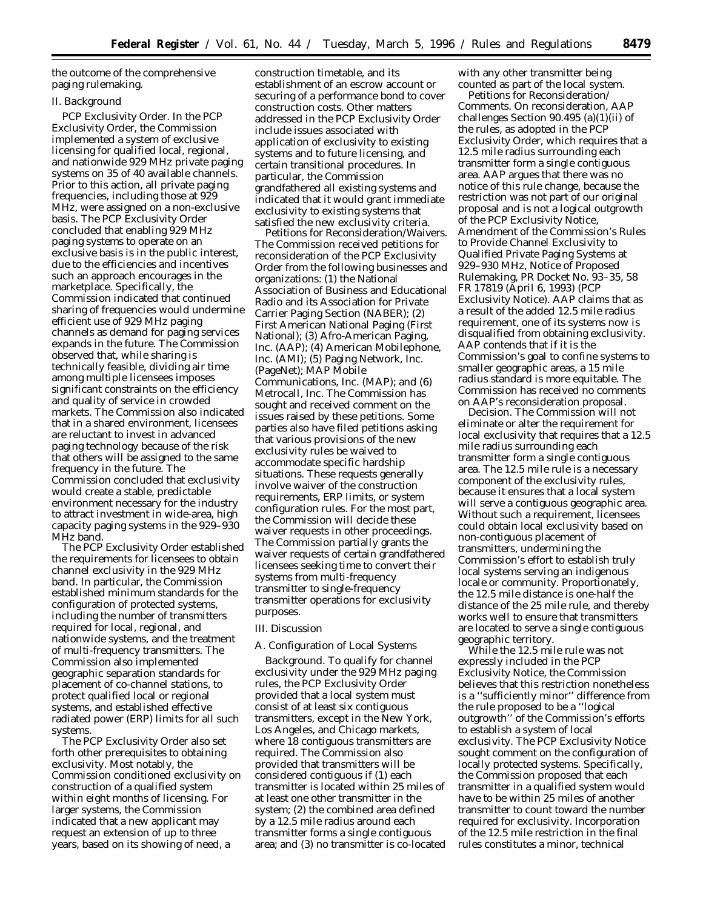the outcome of the comprehensive paging rulemaking.

## *II. Background*

*PCP Exclusivity Order.* In the *PCP Exclusivity Order,* the Commission implemented a system of exclusive licensing for qualified local, regional, and nationwide 929 MHz private paging systems on 35 of 40 available channels. Prior to this action, all private paging frequencies, including those at 929 MHz, were assigned on a non-exclusive basis. The *PCP Exclusivity Order* concluded that enabling 929 MHz paging systems to operate on an exclusive basis is in the public interest, due to the efficiencies and incentives such an approach encourages in the marketplace. Specifically, the Commission indicated that continued sharing of frequencies would undermine efficient use of 929 MHz paging channels as demand for paging services expands in the future. The Commission observed that, while sharing is technically feasible, dividing air time among multiple licensees imposes significant constraints on the efficiency and quality of service in crowded markets. The Commission also indicated that in a shared environment, licensees are reluctant to invest in advanced paging technology because of the risk that others will be assigned to the same frequency in the future. The Commission concluded that exclusivity would create a stable, predictable environment necessary for the industry to attract investment in wide-area, high capacity paging systems in the 929–930 MHz band.

The *PCP Exclusivity Order* established the requirements for licensees to obtain channel exclusivity in the 929 MHz band. In particular, the Commission established minimum standards for the configuration of protected systems, including the number of transmitters required for local, regional, and nationwide systems, and the treatment of multi-frequency transmitters. The Commission also implemented geographic separation standards for placement of co-channel stations, to protect qualified local or regional systems, and established effective radiated power (ERP) limits for all such systems.

The *PCP Exclusivity Order* also set forth other prerequisites to obtaining exclusivity. Most notably, the Commission conditioned exclusivity on construction of a qualified system within eight months of licensing. For larger systems, the Commission indicated that a new applicant may request an extension of up to three years, based on its showing of need, a

construction timetable, and its establishment of an escrow account or securing of a performance bond to cover construction costs. Other matters addressed in the *PCP Exclusivity Order* include issues associated with application of exclusivity to existing systems and to future licensing, and certain transitional procedures. In particular, the Commission grandfathered all existing systems and indicated that it would grant immediate exclusivity to existing systems that satisfied the new exclusivity criteria.

*Petitions for Reconsideration/Waivers.* The Commission received petitions for reconsideration of the *PCP Exclusivity Order* from the following businesses and organizations: (1) the National Association of Business and Educational Radio and its Association for Private Carrier Paging Section (NABER); (2) First American National Paging (First National); (3) Afro-American Paging, Inc. (AAP); (4) American Mobilephone, Inc. (AMI); (5) Paging Network, Inc. (PageNet); MAP Mobile Communications, Inc. (MAP); and (6) Metrocall, Inc. The Commission has sought and received comment on the issues raised by these petitions. Some parties also have filed petitions asking that various provisions of the new exclusivity rules be waived to accommodate specific hardship situations. These requests generally involve waiver of the construction requirements, ERP limits, or system configuration rules. For the most part, the Commission will decide these waiver requests in other proceedings. The Commission partially grants the waiver requests of certain grandfathered licensees seeking time to convert their systems from multi-frequency transmitter to single-frequency transmitter operations for exclusivity purposes.

### *III. Discussion*

## A. Configuration of Local Systems

*Background.* To qualify for channel exclusivity under the 929 MHz paging rules, the *PCP Exclusivity Order* provided that a local system must consist of at least six contiguous transmitters, except in the New York, Los Angeles, and Chicago markets, where 18 contiguous transmitters are required. The Commission also provided that transmitters will be considered contiguous if (1) each transmitter is located within 25 miles of at least one other transmitter in the system; (2) the combined area defined by a 12.5 mile radius around each transmitter forms a single contiguous area; and (3) no transmitter is co-located

with any other transmitter being counted as part of the local system.

*Petitions for Reconsideration/ Comments.* On reconsideration, AAP challenges Section 90.495 (a)(1)(ii) of the rules, as adopted in the *PCP Exclusivity Order,* which requires that a 12.5 mile radius surrounding each transmitter form a single contiguous area. AAP argues that there was no notice of this rule change, because the restriction was not part of our original proposal and is not a logical outgrowth of the *PCP Exclusivity Notice,* Amendment of the Commission's Rules to Provide Channel Exclusivity to Qualified Private Paging Systems at 929–930 MHz, *Notice of Proposed Rulemaking,* PR Docket No. 93–35, 58 FR 17819 (April 6, 1993) (*PCP Exclusivity Notice*). AAP claims that as a result of the added 12.5 mile radius requirement, one of its systems now is disqualified from obtaining exclusivity. AAP contends that if it is the Commission's goal to confine systems to smaller geographic areas, a 15 mile radius standard is more equitable. The Commission has received no comments on AAP's reconsideration proposal.

*Decision.* The Commission will not eliminate or alter the requirement for local exclusivity that requires that a 12.5 mile radius surrounding each transmitter form a single contiguous area. The 12.5 mile rule is a necessary component of the exclusivity rules, because it ensures that a local system will serve a contiguous geographic area. Without such a requirement, licensees could obtain local exclusivity based on non-contiguous placement of transmitters, undermining the Commission's effort to establish truly local systems serving an indigenous locale or community. Proportionately, the 12.5 mile distance is one-half the distance of the 25 mile rule, and thereby works well to ensure that transmitters are located to serve a single contiguous geographic territory.

While the 12.5 mile rule was not expressly included in the *PCP Exclusivity Notice,* the Commission believes that this restriction nonetheless is a ''sufficiently minor'' difference from the rule proposed to be a ''logical outgrowth'' of the Commission's efforts to establish a system of local exclusivity. The *PCP Exclusivity Notice* sought comment on the configuration of locally protected systems. Specifically, the Commission proposed that each transmitter in a qualified system would have to be within 25 miles of another transmitter to count toward the number required for exclusivity. Incorporation of the 12.5 mile restriction in the final rules constitutes a minor, technical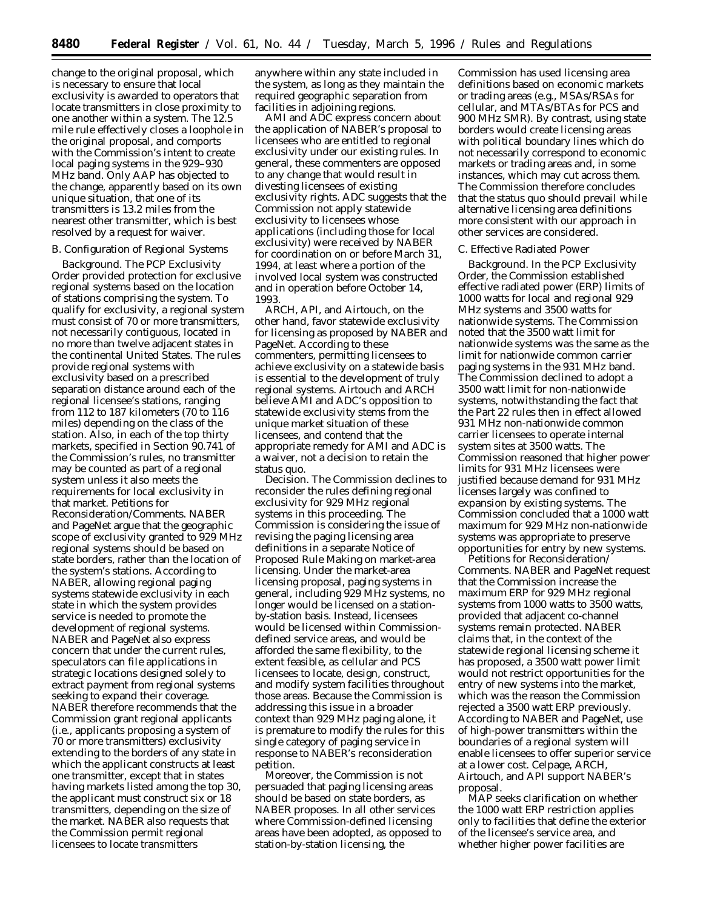change to the original proposal, which is necessary to ensure that local exclusivity is awarded to operators that locate transmitters in close proximity to one another within a system. The 12.5 mile rule effectively closes a loophole in the original proposal, and comports with the Commission's intent to create local paging systems in the 929–930 MHz band. Only AAP has objected to the change, apparently based on its own unique situation, that one of its transmitters is 13.2 miles from the nearest other transmitter, which is best resolved by a request for waiver.

## B. Configuration of Regional Systems

*Background.* The *PCP Exclusivity Order* provided protection for exclusive regional systems based on the location of stations comprising the system. To qualify for exclusivity, a regional system must consist of 70 or more transmitters, not necessarily contiguous, located in no more than twelve adjacent states in the continental United States. The rules provide regional systems with exclusivity based on a prescribed separation distance around each of the regional licensee's stations, ranging from 112 to 187 kilometers (70 to 116 miles) depending on the class of the station. Also, in each of the top thirty markets, specified in Section 90.741 of the Commission's rules, no transmitter may be counted as part of a regional system unless it also meets the requirements for local exclusivity in that market. *Petitions for Reconsideration/Comments.* NABER and PageNet argue that the geographic scope of exclusivity granted to 929 MHz regional systems should be based on state borders, rather than the location of the system's stations. According to NABER, allowing regional paging systems statewide exclusivity in each state in which the system provides service is needed to promote the development of regional systems. NABER and PageNet also express concern that under the current rules, speculators can file applications in strategic locations designed solely to extract payment from regional systems seeking to expand their coverage. NABER therefore recommends that the Commission grant regional applicants (*i.e.,* applicants proposing a system of 70 or more transmitters) exclusivity extending to the borders of any state in which the applicant constructs at least one transmitter, except that in states having markets listed among the top 30, the applicant must construct six or 18 transmitters, depending on the size of the market. NABER also requests that the Commission permit regional licensees to locate transmitters

anywhere within any state included in the system, as long as they maintain the required geographic separation from facilities in adjoining regions.

AMI and ADC express concern about the application of NABER's proposal to licensees who are entitled to regional exclusivity under our existing rules. In general, these commenters are opposed to any change that would result in divesting licensees of existing exclusivity rights. ADC suggests that the Commission not apply statewide exclusivity to licensees whose applications (including those for local exclusivity) were received by NABER for coordination on or before March 31, 1994, at least where a portion of the involved local system was constructed and in operation before October 14, 1993.

ARCH, API, and Airtouch, on the other hand, favor statewide exclusivity for licensing as proposed by NABER and PageNet. According to these commenters, permitting licensees to achieve exclusivity on a statewide basis is essential to the development of truly regional systems. Airtouch and ARCH believe AMI and ADC's opposition to statewide exclusivity stems from the unique market situation of these licensees, and contend that the appropriate remedy for AMI and ADC is a waiver, not a decision to retain the status quo.

*Decision.* The Commission declines to reconsider the rules defining regional exclusivity for 929 MHz regional systems in this proceeding. The Commission is considering the issue of revising the paging licensing area definitions in a separate *Notice of Proposed Rule Making* on market-area licensing. Under the market-area licensing proposal, paging systems in general, including 929 MHz systems, no longer would be licensed on a stationby-station basis. Instead, licensees would be licensed within Commissiondefined service areas, and would be afforded the same flexibility, to the extent feasible, as cellular and PCS licensees to locate, design, construct, and modify system facilities throughout those areas. Because the Commission is addressing this issue in a broader context than 929 MHz paging alone, it is premature to modify the rules for this single category of paging service in response to NABER's reconsideration petition.

Moreover, the Commission is not persuaded that paging licensing areas should be based on state borders, as NABER proposes. In all other services where Commission-defined licensing areas have been adopted, as opposed to station-by-station licensing, the

Commission has used licensing area definitions based on economic markets or trading areas (*e.g.*, MSAs/RSAs for cellular, and MTAs/BTAs for PCS and 900 MHz SMR). By contrast, using state borders would create licensing areas with political boundary lines which do not necessarily correspond to economic markets or trading areas and, in some instances, which may cut across them. The Commission therefore concludes that the status quo should prevail while alternative licensing area definitions more consistent with our approach in other services are considered.

#### C. Effective Radiated Power

*Background.* In the *PCP Exclusivity Order,* the Commission established effective radiated power (ERP) limits of 1000 watts for local and regional 929 MHz systems and 3500 watts for nationwide systems. The Commission noted that the 3500 watt limit for nationwide systems was the same as the limit for nationwide common carrier paging systems in the 931 MHz band. The Commission declined to adopt a 3500 watt limit for non-nationwide systems, notwithstanding the fact that the Part 22 rules then in effect allowed 931 MHz non-nationwide common carrier licensees to operate internal system sites at 3500 watts. The Commission reasoned that higher power limits for 931 MHz licensees were justified because demand for 931 MHz licenses largely was confined to expansion by existing systems. The Commission concluded that a 1000 watt maximum for 929 MHz non-nationwide systems was appropriate to preserve opportunities for entry by new systems.

*Petitions for Reconsideration/ Comments.* NABER and PageNet request that the Commission increase the maximum ERP for 929 MHz regional systems from 1000 watts to 3500 watts, provided that adjacent co-channel systems remain protected. NABER claims that, in the context of the statewide regional licensing scheme it has proposed, a 3500 watt power limit would not restrict opportunities for the entry of new systems into the market, which was the reason the Commission rejected a 3500 watt ERP previously. According to NABER and PageNet, use of high-power transmitters within the boundaries of a regional system will enable licensees to offer superior service at a lower cost. Celpage, ARCH, Airtouch, and API support NABER's proposal.

MAP seeks clarification on whether the 1000 watt ERP restriction applies only to facilities that define the exterior of the licensee's service area, and whether higher power facilities are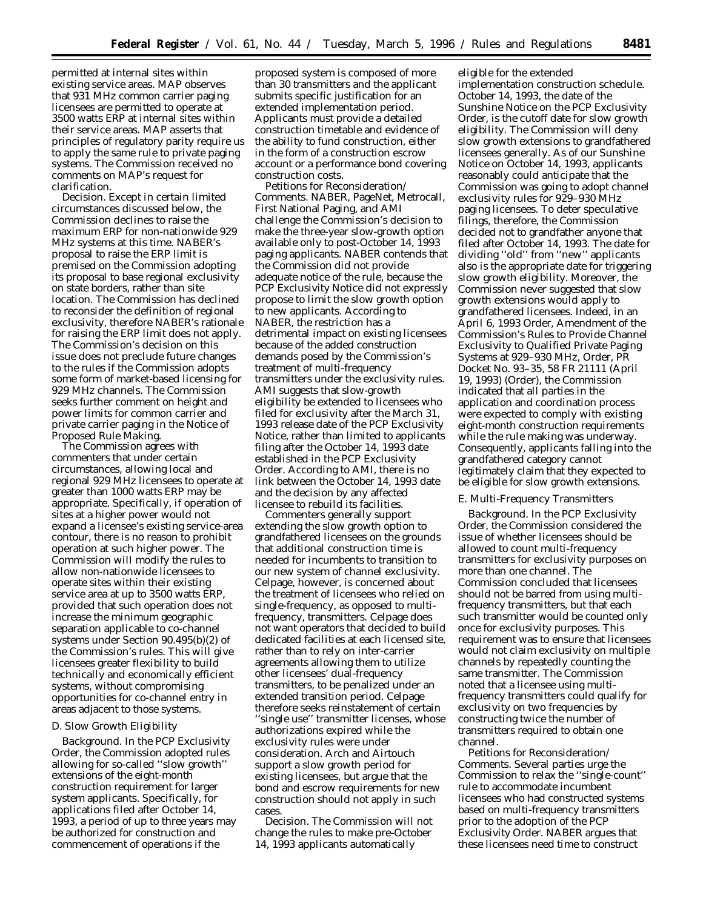permitted at internal sites within existing service areas. MAP observes that 931 MHz common carrier paging licensees are permitted to operate at 3500 watts ERP at internal sites within their service areas. MAP asserts that principles of regulatory parity require us to apply the same rule to private paging systems. The Commission received no comments on MAP's request for clarification.

*Decision.* Except in certain limited circumstances discussed below, the Commission declines to raise the maximum ERP for non-nationwide 929 MHz systems at this time. NABER's proposal to raise the ERP limit is premised on the Commission adopting its proposal to base regional exclusivity on state borders, rather than site location. The Commission has declined to reconsider the definition of regional exclusivity, therefore NABER's rationale for raising the ERP limit does not apply. The Commission's decision on this issue does not preclude future changes to the rules if the Commission adopts some form of market-based licensing for 929 MHz channels. The Commission seeks further comment on height and power limits for common carrier and private carrier paging in the *Notice of Proposed Rule Making.*

The Commission agrees with commenters that under certain circumstances, allowing local and regional 929 MHz licensees to operate at greater than 1000 watts ERP may be appropriate. Specifically, if operation of sites at a higher power would not expand a licensee's existing service-area contour, there is no reason to prohibit operation at such higher power. The Commission will modify the rules to allow non-nationwide licensees to operate sites within their existing service area at up to 3500 watts ERP, provided that such operation does not increase the minimum geographic separation applicable to co-channel systems under Section 90.495(b)(2) of the Commission's rules. This will give licensees greater flexibility to build technically and economically efficient systems, without compromising opportunities for co-channel entry in areas adjacent to those systems.

## D. Slow Growth Eligibility

*Background.* In the *PCP Exclusivity Order,* the Commission adopted rules allowing for so-called ''slow growth'' extensions of the eight-month construction requirement for larger system applicants. Specifically, for applications filed after October 14, 1993, a period of up to three years may be authorized for construction and commencement of operations if the

proposed system is composed of more than 30 transmitters and the applicant submits specific justification for an extended implementation period. Applicants must provide a detailed construction timetable and evidence of the ability to fund construction, either in the form of a construction escrow account or a performance bond covering construction costs.

*Petitions for Reconsideration/ Comments.* NABER, PageNet, Metrocall, First National Paging, and AMI challenge the Commission's decision to make the three-year slow-growth option available only to post-October 14, 1993 paging applicants. NABER contends that the Commission did not provide adequate notice of the rule, because the *PCP Exclusivity Notice* did not expressly propose to limit the slow growth option to new applicants. According to NABER, the restriction has a detrimental impact on existing licensees because of the added construction demands posed by the Commission's treatment of multi-frequency transmitters under the exclusivity rules. AMI suggests that slow-growth eligibility be extended to licensees who filed for exclusivity after the March 31, 1993 release date of the *PCP Exclusivity Notice,* rather than limited to applicants filing after the October 14, 1993 date established in the *PCP Exclusivity Order.* According to AMI, there is no link between the October 14, 1993 date and the decision by any affected licensee to rebuild its facilities.

Commenters generally support extending the slow growth option to grandfathered licensees on the grounds that additional construction time is needed for incumbents to transition to our new system of channel exclusivity. Celpage, however, is concerned about the treatment of licensees who relied on single-frequency, as opposed to multifrequency, transmitters. Celpage does not want operators that decided to build dedicated facilities at each licensed site, rather than to rely on inter-carrier agreements allowing them to utilize other licensees' dual-frequency transmitters, to be penalized under an extended transition period. Celpage therefore seeks reinstatement of certain ''single use'' transmitter licenses, whose authorizations expired while the exclusivity rules were under consideration. Arch and Airtouch support a slow growth period for existing licensees, but argue that the bond and escrow requirements for new construction should not apply in such cases.

*Decision.* The Commission will not change the rules to make pre-October 14, 1993 applicants automatically

eligible for the extended implementation construction schedule. October 14, 1993, the date of the Sunshine Notice on the *PCP Exclusivity Order,* is the cutoff date for slow growth eligibility. The Commission will deny slow growth extensions to grandfathered licensees generally. As of our Sunshine Notice on October 14, 1993, applicants reasonably could anticipate that the Commission was going to adopt channel exclusivity rules for 929–930 MHz paging licensees. To deter speculative filings, therefore, the Commission decided not to grandfather anyone that filed after October 14, 1993. The date for dividing ''old'' from ''new'' applicants also is the appropriate date for triggering slow growth eligibility. Moreover, the Commission never suggested that slow growth extensions would apply to grandfathered licensees. Indeed, in an April 6, 1993 *Order,* Amendment of the Commission's Rules to Provide Channel Exclusivity to Qualified Private Paging Systems at 929–930 MHz, *Order,* PR Docket No. 93–35, 58 FR 21111 (April 19, 1993) (*Order*), the Commission indicated that all parties in the application and coordination process were expected to comply with existing eight-month construction requirements while the rule making was underway. Consequently, applicants falling into the grandfathered category cannot legitimately claim that they expected to be eligible for slow growth extensions.

## E. Multi-Frequency Transmitters

*Background.* In the *PCP Exclusivity Order,* the Commission considered the issue of whether licensees should be allowed to count multi-frequency transmitters for exclusivity purposes on more than one channel. The Commission concluded that licensees should not be barred from using multifrequency transmitters, but that each such transmitter would be counted only once for exclusivity purposes. This requirement was to ensure that licensees would not claim exclusivity on multiple channels by repeatedly counting the same transmitter. The Commission noted that a licensee using multifrequency transmitters could qualify for exclusivity on two frequencies by constructing twice the number of transmitters required to obtain one channel.

*Petitions for Reconsideration/ Comments.* Several parties urge the Commission to relax the ''single-count'' rule to accommodate incumbent licensees who had constructed systems based on multi-frequency transmitters prior to the adoption of the *PCP Exclusivity Order.* NABER argues that these licensees need time to construct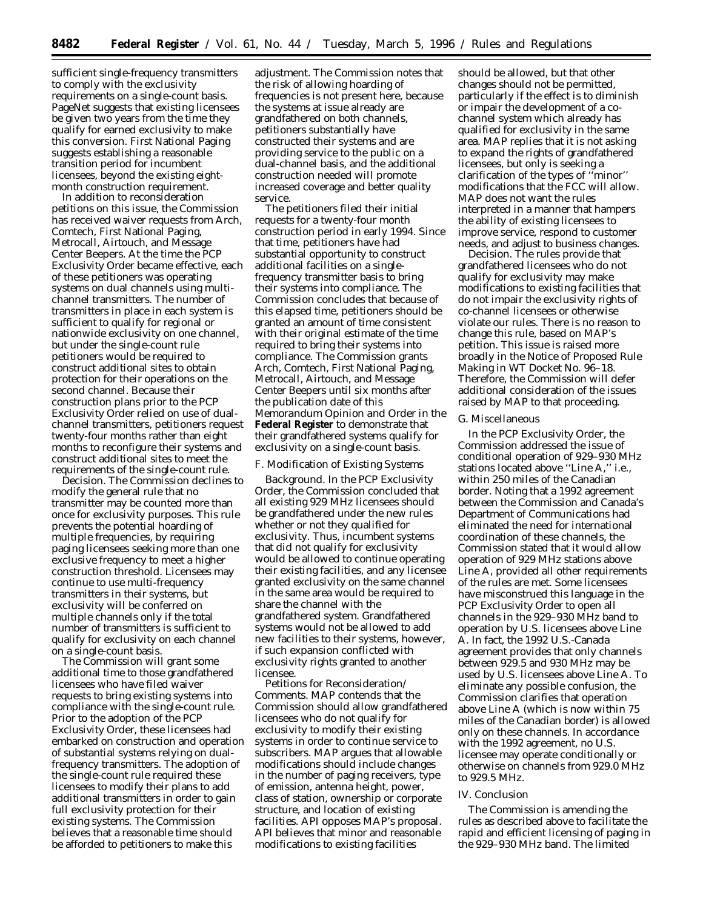sufficient single-frequency transmitters to comply with the exclusivity requirements on a single-count basis. PageNet suggests that existing licensees be given two years from the time they qualify for earned exclusivity to make this conversion. First National Paging suggests establishing a reasonable transition period for incumbent licensees, beyond the existing eightmonth construction requirement.

In addition to reconsideration petitions on this issue, the Commission has received waiver requests from Arch, Comtech, First National Paging, Metrocall, Airtouch, and Message Center Beepers. At the time the *PCP Exclusivity Order* became effective, each of these petitioners was operating systems on dual channels using multichannel transmitters. The number of transmitters in place in each system is sufficient to qualify for regional or nationwide exclusivity on one channel, but under the single-count rule petitioners would be required to construct additional sites to obtain protection for their operations on the second channel. Because their construction plans prior to the *PCP Exclusivity Order* relied on use of dualchannel transmitters, petitioners request twenty-four months rather than eight months to reconfigure their systems and construct additional sites to meet the requirements of the single-count rule.

*Decision.* The Commission declines to modify the general rule that no transmitter may be counted more than once for exclusivity purposes. This rule prevents the potential hoarding of multiple frequencies, by requiring paging licensees seeking more than one exclusive frequency to meet a higher construction threshold. Licensees may continue to use multi-frequency transmitters in their systems, but exclusivity will be conferred on multiple channels only if the total number of transmitters is sufficient to qualify for exclusivity on each channel on a single-count basis.

The Commission will grant some additional time to those grandfathered licensees who have filed waiver requests to bring existing systems into compliance with the single-count rule. Prior to the adoption of the *PCP Exclusivity Order,* these licensees had embarked on construction and operation of substantial systems relying on dualfrequency transmitters. The adoption of the single-count rule required these licensees to modify their plans to add additional transmitters in order to gain full exclusivity protection for their existing systems. The Commission believes that a reasonable time should be afforded to petitioners to make this

adjustment. The Commission notes that the risk of allowing hoarding of frequencies is not present here, because the systems at issue already are grandfathered on both channels, petitioners substantially have constructed their systems and are providing service to the public on a dual-channel basis, and the additional construction needed will promote increased coverage and better quality service.

The petitioners filed their initial requests for a twenty-four month construction period in early 1994. Since that time, petitioners have had substantial opportunity to construct additional facilities on a singlefrequency transmitter basis to bring their systems into compliance. The Commission concludes that because of this elapsed time, petitioners should be granted an amount of time consistent with their original estimate of the time required to bring their systems into compliance. The Commission grants Arch, Comtech, First National Paging, Metrocall, Airtouch, and Message Center Beepers until six months after the publication date of this *Memorandum Opinion and Order* in the **Federal Register** to demonstrate that their grandfathered systems qualify for exclusivity on a single-count basis.

## F. Modification of Existing Systems

*Background.* In the *PCP Exclusivity Order,* the Commission concluded that all existing 929 MHz licensees should be grandfathered under the new rules whether or not they qualified for exclusivity. Thus, incumbent systems that did not qualify for exclusivity would be allowed to continue operating their existing facilities, and any licensee granted exclusivity on the same channel in the same area would be required to share the channel with the grandfathered system. Grandfathered systems would not be allowed to add new facilities to their systems, however, if such expansion conflicted with exclusivity rights granted to another licensee.

*Petitions for Reconsideration/ Comments.* MAP contends that the Commission should allow grandfathered licensees who do not qualify for exclusivity to modify their existing systems in order to continue service to subscribers. MAP argues that allowable modifications should include changes in the number of paging receivers, type of emission, antenna height, power, class of station, ownership or corporate structure, and location of existing facilities. API opposes MAP's proposal. API believes that minor and reasonable modifications to existing facilities

should be allowed, but that other changes should not be permitted, particularly if the effect is to diminish or impair the development of a cochannel system which already has qualified for exclusivity in the same area. MAP replies that it is not asking to expand the rights of grandfathered licensees, but only is seeking a clarification of the types of ''minor'' modifications that the FCC will allow. MAP does not want the rules interpreted in a manner that hampers the ability of existing licensees to improve service, respond to customer needs, and adjust to business changes.

*Decision.* The rules provide that grandfathered licensees who do not qualify for exclusivity may make modifications to existing facilities that do not impair the exclusivity rights of co-channel licensees or otherwise violate our rules. There is no reason to change this rule, based on MAP's petition. This issue is raised more broadly in the *Notice of Proposed Rule Making* in WT Docket No. 96–18. Therefore, the Commission will defer additional consideration of the issues raised by MAP to that proceeding.

#### G. Miscellaneous

In the *PCP Exclusivity Order,* the Commission addressed the issue of conditional operation of 929–930 MHz stations located above ''Line A,'' *i.e.,* within 250 miles of the Canadian border. Noting that a 1992 agreement between the Commission and Canada's Department of Communications had eliminated the need for international coordination of these channels, the Commission stated that it would allow operation of 929 MHz stations above Line A, provided all other requirements of the rules are met. Some licensees have misconstrued this language in the *PCP Exclusivity Order* to open all channels in the 929–930 MHz band to operation by U.S. licensees above Line A. In fact, the 1992 U.S.-Canada agreement provides that only channels between 929.5 and 930 MHz may be used by U.S. licensees above Line A. To eliminate any possible confusion, the Commission clarifies that operation above Line A (which is now within 75 miles of the Canadian border) is allowed only on these channels. In accordance with the 1992 agreement, no U.S. licensee may operate conditionally or otherwise on channels from 929.0 MHz to 929.5 MHz.

#### *IV. Conclusion*

The Commission is amending the rules as described above to facilitate the rapid and efficient licensing of paging in the 929–930 MHz band. The limited